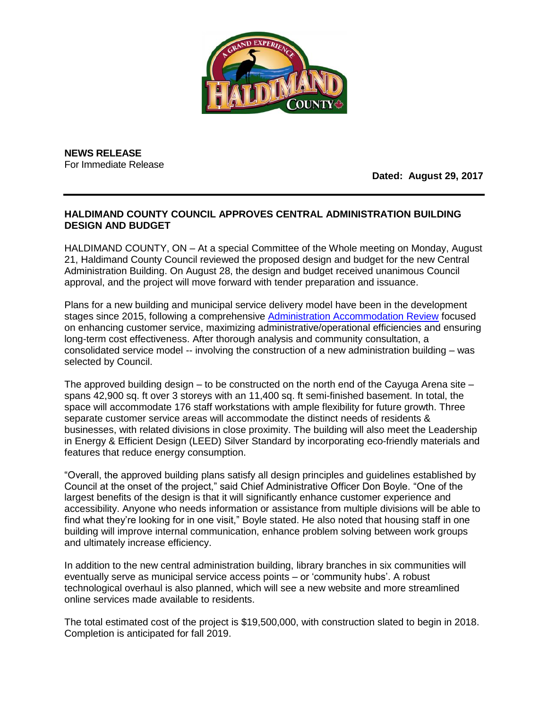

**NEWS RELEASE** For Immediate Release

**Dated: August 29, 2017**

## **HALDIMAND COUNTY COUNCIL APPROVES CENTRAL ADMINISTRATION BUILDING DESIGN AND BUDGET**

HALDIMAND COUNTY, ON – At a special Committee of the Whole meeting on Monday, August 21, Haldimand County Council reviewed the proposed design and budget for the new Central Administration Building. On August 28, the design and budget received unanimous Council approval, and the project will move forward with tender preparation and issuance.

Plans for a new building and municipal service delivery model have been in the development stages since 2015, following a comprehensive [Administration Accommodation Review](http://www.haldimandcounty.on.ca/OurCounty.aspx?id=26403) focused on enhancing customer service, maximizing administrative/operational efficiencies and ensuring long-term cost effectiveness. After thorough analysis and community consultation, a consolidated service model -- involving the construction of a new administration building – was selected by Council.

The approved building design – to be constructed on the north end of the Cayuga Arena site – spans 42,900 sq. ft over 3 storeys with an 11,400 sq. ft semi-finished basement. In total, the space will accommodate 176 staff workstations with ample flexibility for future growth. Three separate customer service areas will accommodate the distinct needs of residents & businesses, with related divisions in close proximity. The building will also meet the Leadership in Energy & Efficient Design (LEED) Silver Standard by incorporating eco-friendly materials and features that reduce energy consumption.

"Overall, the approved building plans satisfy all design principles and guidelines established by Council at the onset of the project," said Chief Administrative Officer Don Boyle. "One of the largest benefits of the design is that it will significantly enhance customer experience and accessibility. Anyone who needs information or assistance from multiple divisions will be able to find what they're looking for in one visit," Boyle stated. He also noted that housing staff in one building will improve internal communication, enhance problem solving between work groups and ultimately increase efficiency.

In addition to the new central administration building, library branches in six communities will eventually serve as municipal service access points – or 'community hubs'. A robust technological overhaul is also planned, which will see a new website and more streamlined online services made available to residents.

The total estimated cost of the project is \$19,500,000, with construction slated to begin in 2018. Completion is anticipated for fall 2019.